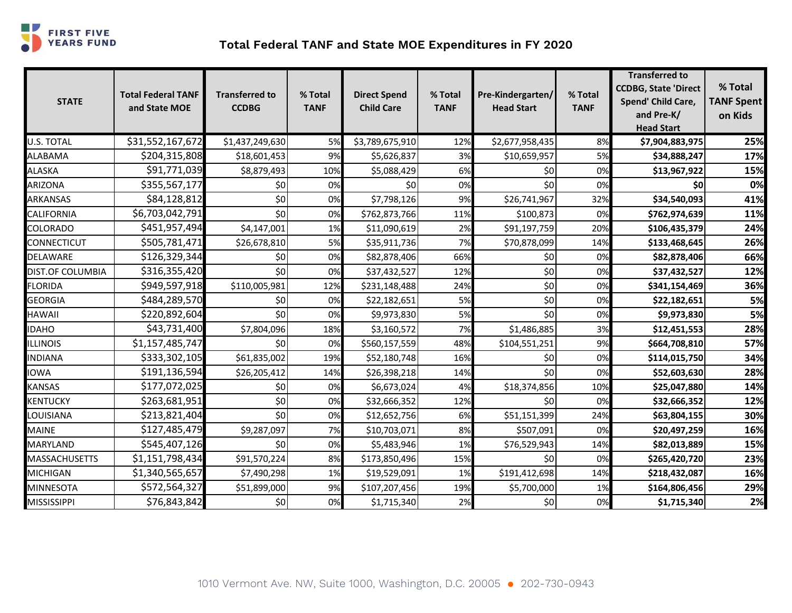

## **Total Federal TANF and State MOE Expenditures in FY 2020**

| <b>STATE</b>         | <b>Total Federal TANF</b><br>and State MOE | <b>Transferred to</b><br><b>CCDBG</b> | % Total<br><b>TANF</b> | <b>Direct Spend</b><br><b>Child Care</b> | % Total<br><b>TANF</b> | Pre-Kindergarten/<br><b>Head Start</b> | % Total<br><b>TANF</b> | <b>Transferred to</b><br><b>CCDBG, State 'Direct</b><br>Spend' Child Care,<br>and Pre-K/<br><b>Head Start</b> | % Total<br><b>TANF Spent</b><br>on Kids |
|----------------------|--------------------------------------------|---------------------------------------|------------------------|------------------------------------------|------------------------|----------------------------------------|------------------------|---------------------------------------------------------------------------------------------------------------|-----------------------------------------|
| U.S. TOTAL           | \$31,552,167,672                           | \$1,437,249,630                       | 5%                     | \$3,789,675,910                          | 12%                    | \$2,677,958,435                        | 8%                     | \$7,904,883,975                                                                                               | 25%                                     |
| <b>ALABAMA</b>       | \$204,315,808                              | \$18,601,453                          | 9%                     | \$5,626,837                              | 3%                     | \$10,659,957                           | 5%                     | \$34,888,247                                                                                                  | 17%                                     |
| ALASKA               | \$91,771,039                               | \$8,879,493                           | 10%                    | \$5,088,429                              | 6%                     | \$0                                    | 0%                     | \$13,967,922                                                                                                  | 15%                                     |
| ARIZONA              | \$355,567,177                              | \$0                                   | 0%                     | \$0                                      | 0%                     | \$0                                    | 0%                     | \$0                                                                                                           | 0%                                      |
| ARKANSAS             | \$84,128,812                               | \$0                                   | 0%                     | \$7,798,126                              | 9%                     | \$26,741,967                           | 32%                    | \$34,540,093                                                                                                  | 41%                                     |
| CALIFORNIA           | \$6,703,042,791                            | \$0                                   | 0%                     | \$762,873,766                            | 11%                    | \$100,873                              | 0%                     | \$762,974,639                                                                                                 | 11%                                     |
| COLORADO             | \$451,957,494                              | \$4,147,001                           | 1%                     | \$11,090,619                             | 2%                     | \$91,197,759                           | 20%                    | \$106,435,379                                                                                                 | 24%                                     |
| CONNECTICUT          | \$505,781,471                              | \$26,678,810                          | 5%                     | \$35,911,736                             | 7%                     | \$70,878,099                           | 14%                    | \$133,468,645                                                                                                 | 26%                                     |
| DELAWARE             | \$126,329,344                              | \$0                                   | 0%                     | \$82,878,406                             | 66%                    | \$0                                    | 0%                     | \$82,878,406                                                                                                  | 66%                                     |
| DIST.OF COLUMBIA     | \$316,355,420                              | \$0                                   | 0%                     | \$37,432,527                             | 12%                    | \$0                                    | 0%                     | \$37,432,527                                                                                                  | 12%                                     |
| <b>FLORIDA</b>       | \$949,597,918                              | \$110,005,981                         | 12%                    | \$231,148,488                            | 24%                    | \$0                                    | 0%                     | \$341,154,469                                                                                                 | 36%                                     |
| <b>GEORGIA</b>       | \$484,289,570                              | \$0                                   | 0%                     | \$22,182,651                             | 5%                     | \$0                                    | 0%                     | \$22,182,651                                                                                                  | 5%                                      |
| HAWAII               | \$220,892,604                              | \$0                                   | 0%                     | \$9,973,830                              | 5%                     | \$0                                    | 0%                     | \$9,973,830                                                                                                   | 5%                                      |
| <b>IDAHO</b>         | \$43,731,400                               | \$7,804,096                           | 18%                    | \$3,160,572                              | 7%                     | \$1,486,885                            | 3%                     | \$12,451,553                                                                                                  | 28%                                     |
| <b>ILLINOIS</b>      | \$1,157,485,747                            | \$0                                   | 0%                     | \$560,157,559                            | 48%                    | \$104,551,251                          | 9%                     | \$664,708,810                                                                                                 | 57%                                     |
| <b>INDIANA</b>       | \$333,302,105                              | \$61,835,002                          | 19%                    | \$52,180,748                             | 16%                    | \$0                                    | 0%                     | \$114,015,750                                                                                                 | 34%                                     |
| <b>IOWA</b>          | \$191,136,594                              | \$26,205,412                          | 14%                    | \$26,398,218                             | 14%                    | \$0                                    | 0%                     | \$52,603,630                                                                                                  | 28%                                     |
| KANSAS               | \$177,072,025                              | \$0                                   | 0%                     | \$6,673,024                              | 4%                     | \$18,374,856                           | 10%                    | \$25,047,880                                                                                                  | 14%                                     |
| <b>KENTUCKY</b>      | \$263,681,951                              | \$0                                   | 0%                     | \$32,666,352                             | 12%                    | \$0                                    | 0%                     | \$32,666,352                                                                                                  | 12%                                     |
| LOUISIANA            | \$213,821,404                              | \$0                                   | 0%                     | \$12,652,756                             | 6%                     | \$51,151,399                           | 24%                    | \$63,804,155                                                                                                  | 30%                                     |
| <b>MAINE</b>         | \$127,485,479                              | \$9,287,097                           | 7%                     | \$10,703,071                             | 8%                     | \$507,091                              | 0%                     | \$20,497,259                                                                                                  | 16%                                     |
| MARYLAND             | \$545,407,126                              | \$0                                   | 0%                     | \$5,483,946                              | 1%                     | \$76,529,943                           | 14%                    | \$82,013,889                                                                                                  | 15%                                     |
| <b>MASSACHUSETTS</b> | \$1,151,798,434                            | \$91,570,224                          | 8%                     | \$173,850,496                            | 15%                    | \$0                                    | 0%                     | \$265,420,720                                                                                                 | 23%                                     |
| MICHIGAN             | \$1,340,565,657                            | \$7,490,298                           | 1%                     | \$19,529,091                             | 1%                     | \$191,412,698                          | 14%                    | \$218,432,087                                                                                                 | 16%                                     |
| MINNESOTA            | \$572,564,327                              | \$51,899,000                          | 9%                     | \$107,207,456                            | 19%                    | \$5,700,000                            | 1%                     | \$164,806,456                                                                                                 | 29%                                     |
| MISSISSIPPI          | \$76,843,842                               | \$0                                   | 0%                     | \$1,715,340                              | 2%                     | \$0                                    | 0%                     | \$1,715,340                                                                                                   | 2%                                      |